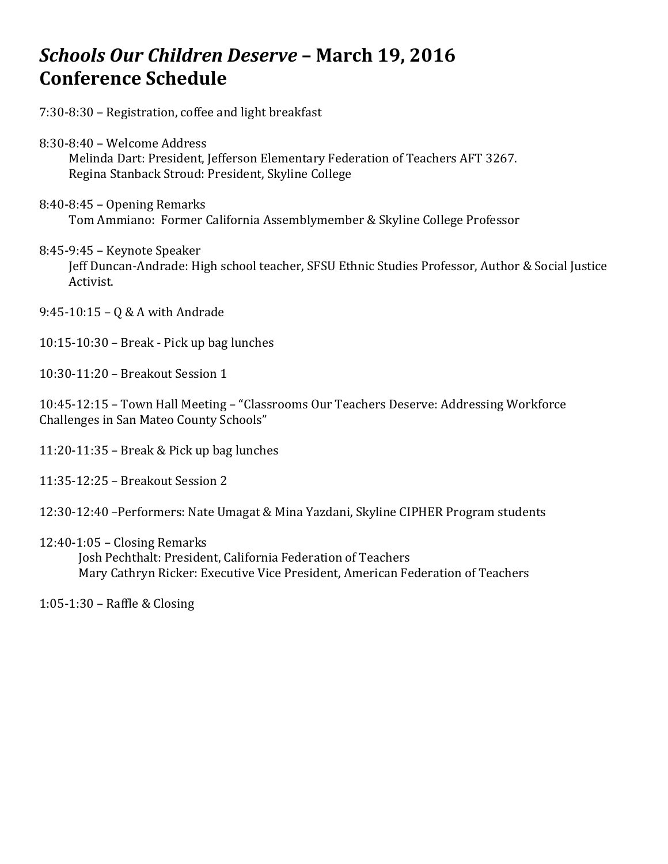# Schools Our Children Deserve - March 19, 2016 **Conference Schedule**

7:30-8:30 – Registration, coffee and light breakfast

- 8:30-8:40 Welcome Address Melinda Dart: President, Jefferson Elementary Federation of Teachers AFT 3267. Regina Stanback Stroud: President, Skyline College
- $8:40-8:45$  Opening Remarks Tom Ammiano: Former California Assemblymember & Skyline College Professor
- 8:45-9:45 Keynote Speaker Jeff Duncan-Andrade: High school teacher, SFSU Ethnic Studies Professor, Author & Social Justice Activist.
- $9:45-10:15 Q & A$  with Andrade
- $10:15-10:30$  Break Pick up bag lunches
- 10:30-11:20 Breakout Session 1

10:45-12:15 – Town Hall Meeting – "Classrooms Our Teachers Deserve: Addressing Workforce Challenges in San Mateo County Schools"

- $11:20-11:35$  Break & Pick up bag lunches
- 11:35-12:25 – Breakout Session 2
- 12:30-12:40 -Performers: Nate Umagat & Mina Yazdani, Skyline CIPHER Program students
- $12:40-1:05$  Closing Remarks

Josh Pechthalt: President, California Federation of Teachers Mary Cathryn Ricker: Executive Vice President, American Federation of Teachers

 $1:05-1:30$  – Raffle & Closing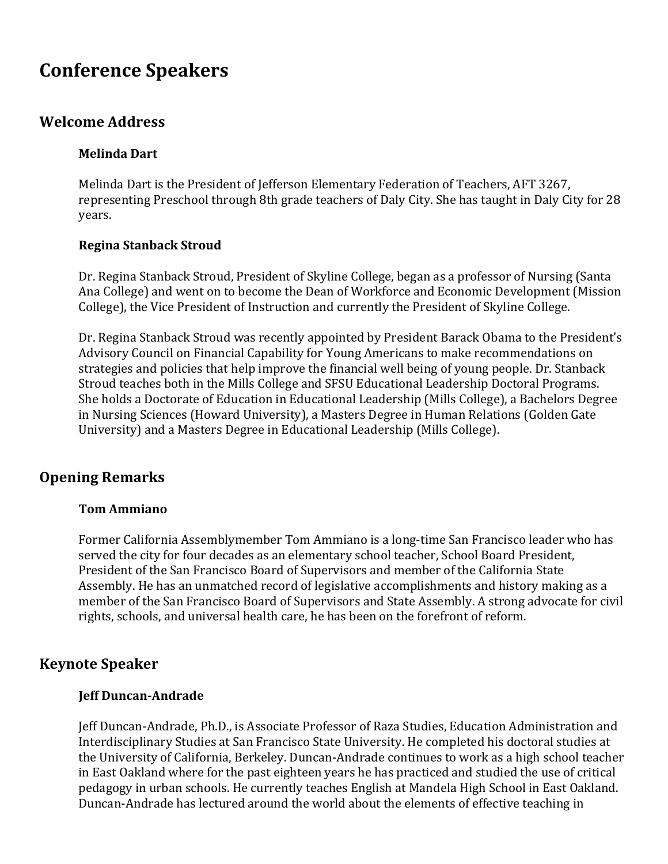# **Conference Speakers**

# **Welcome Address**

## **Melinda Dart**

Melinda Dart is the President of Jefferson Elementary Federation of Teachers, AFT 3267, representing Preschool through 8th grade teachers of Daly City. She has taught in Daly City for 28 years.

## **Regina Stanback Stroud**

Dr. Regina Stanback Stroud, President of Skyline College, began as a professor of Nursing (Santa Ana College) and went on to become the Dean of Workforce and Economic Development (Mission College), the Vice President of Instruction and currently the President of Skyline College.

Dr. Regina Stanback Stroud was recently appointed by President Barack Obama to the President's Advisory Council on Financial Capability for Young Americans to make recommendations on strategies and policies that help improve the financial well being of young people. Dr. Stanback Stroud teaches both in the Mills College and SFSU Educational Leadership Doctoral Programs. She holds a Doctorate of Education in Educational Leadership (Mills College), a Bachelors Degree in Nursing Sciences (Howard University), a Masters Degree in Human Relations (Golden Gate University) and a Masters Degree in Educational Leadership (Mills College).

# **Opening Remarks**

## **Tom Ammiano**

Former California Assemblymember Tom Ammiano is a long-time San Francisco leader who has served the city for four decades as an elementary school teacher, School Board President, President of the San Francisco Board of Supervisors and member of the California State Assembly. He has an unmatched record of legislative accomplishments and history making as a member of the San Francisco Board of Supervisors and State Assembly. A strong advocate for civil rights, schools, and universal health care, he has been on the forefront of reform.

# **Keynote Speaker**

## **Jeff Duncan-Andrade**

Jeff Duncan-Andrade, Ph.D., is Associate Professor of Raza Studies, Education Administration and Interdisciplinary Studies at San Francisco State University. He completed his doctoral studies at the University of California, Berkeley. Duncan-Andrade continues to work as a high school teacher in East Oakland where for the past eighteen years he has practiced and studied the use of critical pedagogy in urban schools. He currently teaches English at Mandela High School in East Oakland. Duncan-Andrade has lectured around the world about the elements of effective teaching in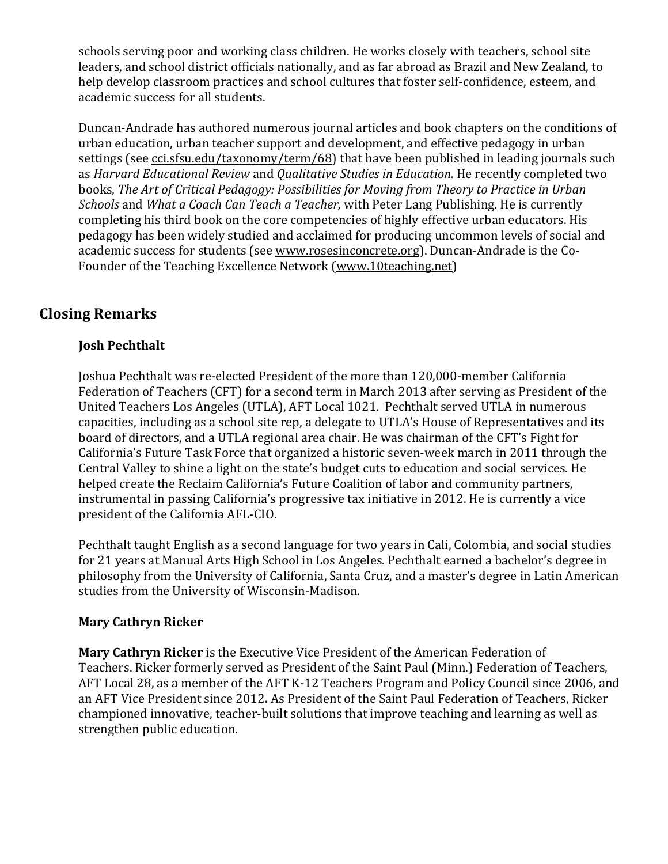schools serving poor and working class children. He works closely with teachers, school site leaders, and school district officials nationally, and as far abroad as Brazil and New Zealand, to help develop classroom practices and school cultures that foster self-confidence, esteem, and academic success for all students.

Duncan-Andrade has authored numerous journal articles and book chapters on the conditions of urban education, urban teacher support and development, and effective pedagogy in urban settings (see cci.sfsu.edu/taxonomy/term/68) that have been published in leading journals such as *Harvard Educational Review* and *Qualitative Studies in Education*. He recently completed two books, *The Art of Critical Pedagogy: Possibilities for Moving from Theory to Practice in Urban Schools* and *What a Coach Can Teach a Teacher*, with Peter Lang Publishing. He is currently completing his third book on the core competencies of highly effective urban educators. His pedagogy has been widely studied and acclaimed for producing uncommon levels of social and academic success for students (see www.rosesinconcrete.org). Duncan-Andrade is the Co-Founder of the Teaching Excellence Network (www.10teaching.net)

# **Closing Remarks**

# **Josh Pechthalt**

Joshua Pechthalt was re-elected President of the more than 120,000-member California Federation of Teachers (CFT) for a second term in March 2013 after serving as President of the United Teachers Los Angeles (UTLA), AFT Local 1021. Pechthalt served UTLA in numerous capacities, including as a school site rep, a delegate to UTLA's House of Representatives and its board of directors, and a UTLA regional area chair. He was chairman of the CFT's Fight for California's Future Task Force that organized a historic seven-week march in 2011 through the Central Valley to shine a light on the state's budget cuts to education and social services. He helped create the Reclaim California's Future Coalition of labor and community partners, instrumental in passing California's progressive tax initiative in 2012. He is currently a vice president of the California AFL-CIO.

Pechthalt taught English as a second language for two years in Cali, Colombia, and social studies for 21 years at Manual Arts High School in Los Angeles. Pechthalt earned a bachelor's degree in philosophy from the University of California, Santa Cruz, and a master's degree in Latin American studies from the University of Wisconsin-Madison.

## **Mary Cathryn Ricker**

**Mary Cathryn Ricker** is the Executive Vice President of the American Federation of Teachers. Ricker formerly served as President of the Saint Paul (Minn.) Federation of Teachers, AFT Local 28, as a member of the AFT K-12 Teachers Program and Policy Council since 2006, and an AFT Vice President since 2012. As President of the Saint Paul Federation of Teachers, Ricker championed innovative, teacher-built solutions that improve teaching and learning as well as strengthen public education.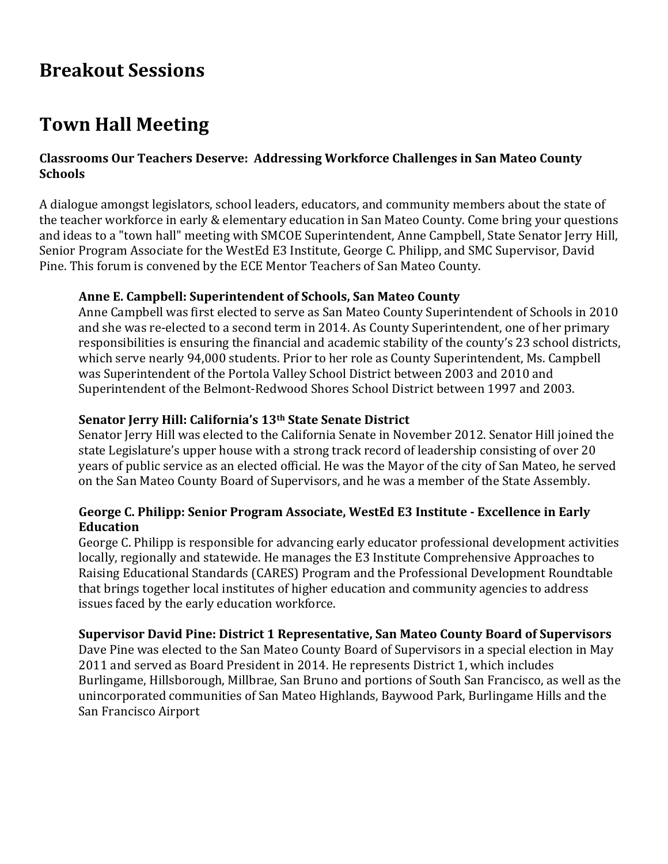# **Breakout Sessions**

# **Town Hall Meeting**

# **Classrooms Our Teachers Deserve: Addressing Workforce Challenges in San Mateo County Schools**

A dialogue amongst legislators, school leaders, educators, and community members about the state of the teacher workforce in early & elementary education in San Mateo County. Come bring your questions and ideas to a "town hall" meeting with SMCOE Superintendent, Anne Campbell, State Senator Jerry Hill, Senior Program Associate for the WestEd E3 Institute, George C. Philipp, and SMC Supervisor, David Pine. This forum is convened by the ECE Mentor Teachers of San Mateo County.

# **Anne E. Campbell: Superintendent of Schools, San Mateo County**

Anne Campbell was first elected to serve as San Mateo County Superintendent of Schools in 2010 and she was re-elected to a second term in 2014. As County Superintendent, one of her primary responsibilities is ensuring the financial and academic stability of the county's 23 school districts, which serve nearly 94,000 students. Prior to her role as County Superintendent, Ms. Campbell was Superintendent of the Portola Valley School District between 2003 and 2010 and Superintendent of the Belmont-Redwood Shores School District between 1997 and 2003.

# **Senator Jerry Hill: California's 13th State Senate District**

Senator Jerry Hill was elected to the California Senate in November 2012. Senator Hill joined the state Legislature's upper house with a strong track record of leadership consisting of over 20 years of public service as an elected official. He was the Mayor of the city of San Mateo, he served on the San Mateo County Board of Supervisors, and he was a member of the State Assembly.

# George C. Philipp: Senior Program Associate, WestEd E3 Institute - Excellence in Early **Education**

George C. Philipp is responsible for advancing early educator professional development activities locally, regionally and statewide. He manages the E3 Institute Comprehensive Approaches to Raising Educational Standards (CARES) Program and the Professional Development Roundtable that brings together local institutes of higher education and community agencies to address issues faced by the early education workforce.

# **Supervisor David Pine: District 1 Representative, San Mateo County Board of Supervisors**

Dave Pine was elected to the San Mateo County Board of Supervisors in a special election in May 2011 and served as Board President in 2014. He represents District 1, which includes Burlingame, Hillsborough, Millbrae, San Bruno and portions of South San Francisco, as well as the unincorporated communities of San Mateo Highlands, Baywood Park, Burlingame Hills and the San Francisco Airport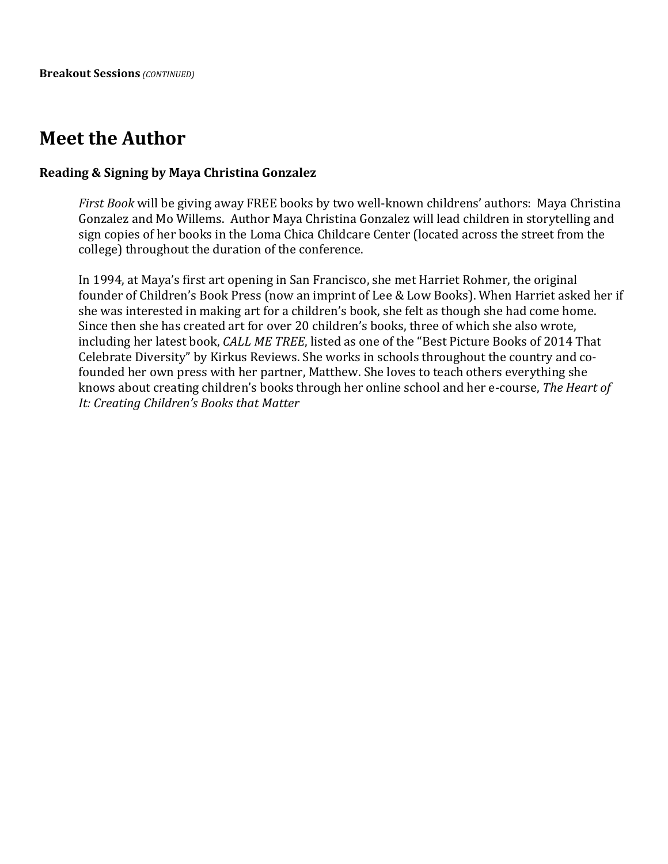# **Meet the Author**

#### **Reading & Signing by Maya Christina Gonzalez**

*First Book* will be giving away FREE books by two well-known childrens' authors: Maya Christina Gonzalez and Mo Willems. Author Maya Christina Gonzalez will lead children in storytelling and sign copies of her books in the Loma Chica Childcare Center (located across the street from the college) throughout the duration of the conference.

In 1994, at Maya's first art opening in San Francisco, she met Harriet Rohmer, the original founder of Children's Book Press (now an imprint of Lee & Low Books). When Harriet asked her if she was interested in making art for a children's book, she felt as though she had come home. Since then she has created art for over 20 children's books, three of which she also wrote, including her latest book, *CALL ME TREE*, listed as one of the "Best Picture Books of 2014 That Celebrate Diversity" by Kirkus Reviews. She works in schools throughout the country and cofounded her own press with her partner, Matthew. She loves to teach others everything she knows about creating children's books through her online school and her e-course, *The Heart of* It: Creating Children's Books that Matter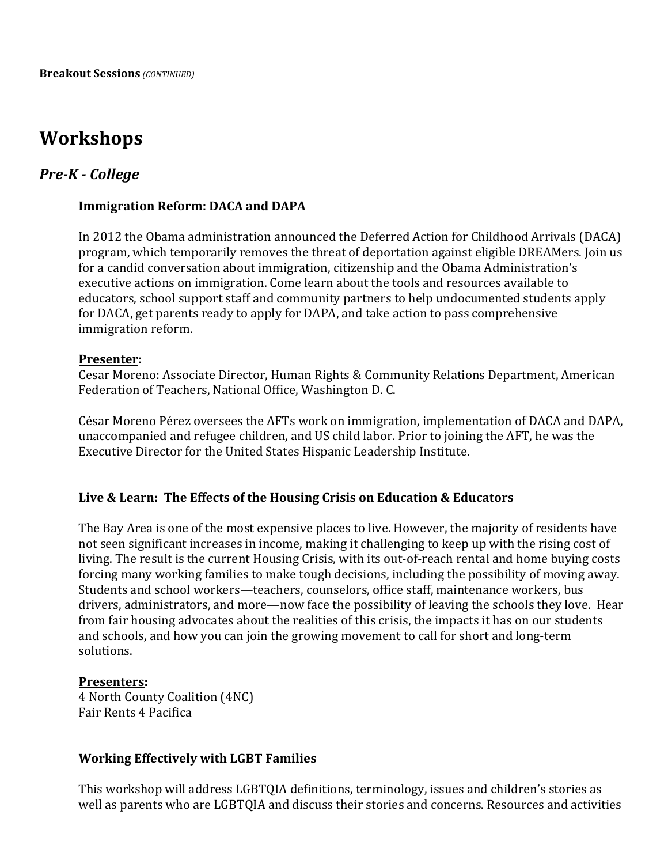# **Workshops**

# *Pre-K - College*

# **Immigration Reform: DACA and DAPA**

In 2012 the Obama administration announced the Deferred Action for Childhood Arrivals (DACA) program, which temporarily removes the threat of deportation against eligible DREAMers. Join us for a candid conversation about immigration, citizenship and the Obama Administration's executive actions on immigration. Come learn about the tools and resources available to educators, school support staff and community partners to help undocumented students apply for DACA, get parents ready to apply for DAPA, and take action to pass comprehensive immigration reform.

#### **Presenter:**

Cesar Moreno: Associate Director, Human Rights & Community Relations Department, American Federation of Teachers, National Office, Washington D.C.

César Moreno Pérez oversees the AFTs work on immigration, implementation of DACA and DAPA, unaccompanied and refugee children, and US child labor. Prior to joining the AFT, he was the Executive Director for the United States Hispanic Leadership Institute.

## Live & Learn: The Effects of the Housing Crisis on Education & Educators

The Bay Area is one of the most expensive places to live. However, the majority of residents have not seen significant increases in income, making it challenging to keep up with the rising cost of living. The result is the current Housing Crisis, with its out-of-reach rental and home buying costs forcing many working families to make tough decisions, including the possibility of moving away. Students and school workers—teachers, counselors, office staff, maintenance workers, bus drivers, administrators, and more—now face the possibility of leaving the schools they love. Hear from fair housing advocates about the realities of this crisis, the impacts it has on our students and schools, and how you can join the growing movement to call for short and long-term solutions. 

#### **Presenters:**

4 North County Coalition (4NC) Fair Rents 4 Pacifica

## **Working Effectively with LGBT Families**

This workshop will address LGBTQIA definitions, terminology, issues and children's stories as well as parents who are LGBTQIA and discuss their stories and concerns. Resources and activities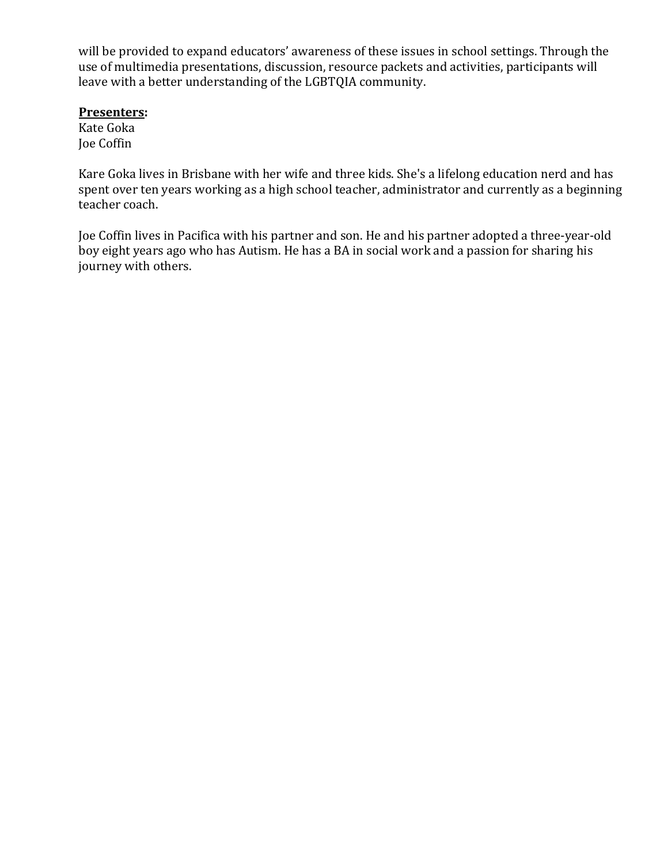will be provided to expand educators' awareness of these issues in school settings. Through the use of multimedia presentations, discussion, resource packets and activities, participants will leave with a better understanding of the LGBTQIA community.

## **Presenters:**

Kate Goka Joe Coffin

Kare Goka lives in Brisbane with her wife and three kids. She's a lifelong education nerd and has spent over ten years working as a high school teacher, administrator and currently as a beginning teacher coach.

Joe Coffin lives in Pacifica with his partner and son. He and his partner adopted a three-year-old boy eight years ago who has Autism. He has a BA in social work and a passion for sharing his journey with others.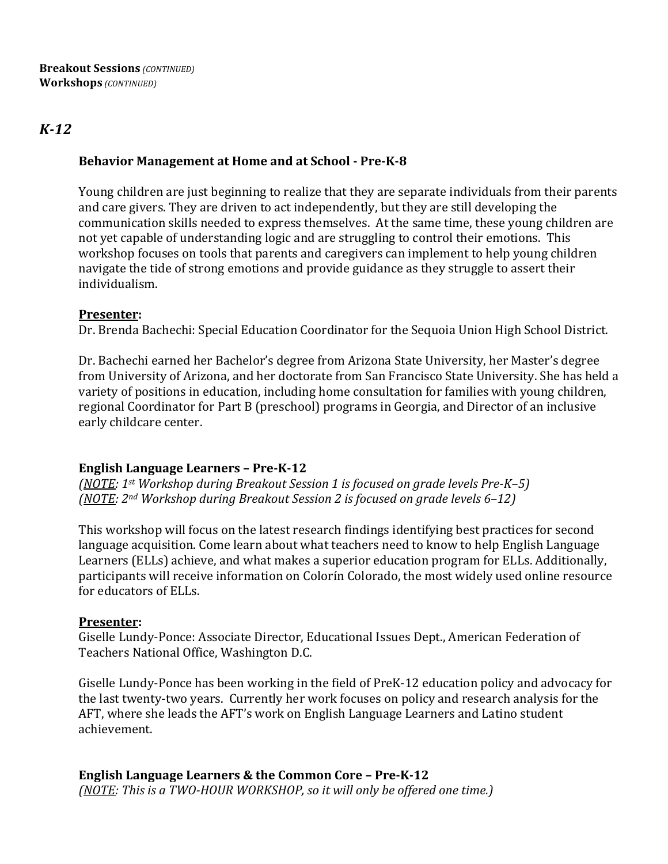# *K-12*

# **Behavior Management at Home and at School - Pre-K-8**

Young children are just beginning to realize that they are separate individuals from their parents and care givers. They are driven to act independently, but they are still developing the communication skills needed to express themselves. At the same time, these young children are not yet capable of understanding logic and are struggling to control their emotions. This workshop focuses on tools that parents and caregivers can implement to help young children navigate the tide of strong emotions and provide guidance as they struggle to assert their individualism. 

## **Presenter:**

Dr. Brenda Bachechi: Special Education Coordinator for the Sequoia Union High School District.

Dr. Bachechi earned her Bachelor's degree from Arizona State University, her Master's degree from University of Arizona, and her doctorate from San Francisco State University. She has held a variety of positions in education, including home consultation for families with young children, regional Coordinator for Part B (preschool) programs in Georgia, and Director of an inclusive early childcare center.

## **English Language Learners - Pre-K-12**

*(NOTE: 1st Workshop during Breakout Session 1 is focused on grade levels Pre-K–5) (NOTE:* 2<sup>nd</sup> Workshop during Breakout Session 2 is focused on grade levels 6–12)

This workshop will focus on the latest research findings identifying best practices for second language acquisition. Come learn about what teachers need to know to help English Language Learners (ELLs) achieve, and what makes a superior education program for ELLs. Additionally, participants will receive information on Colorín Colorado, the most widely used online resource for educators of ELLs.

#### **Presenter:**

Giselle Lundy-Ponce: Associate Director, Educational Issues Dept., American Federation of Teachers National Office, Washington D.C.

Giselle Lundy-Ponce has been working in the field of PreK-12 education policy and advocacy for the last twenty-two years. Currently her work focuses on policy and research analysis for the AFT, where she leads the AFT's work on English Language Learners and Latino student achievement.

**English Language Learners & the Common Core - Pre-K-12** *(NOTE: This is a TWO-HOUR WORKSHOP, so it will only be offered one time.)*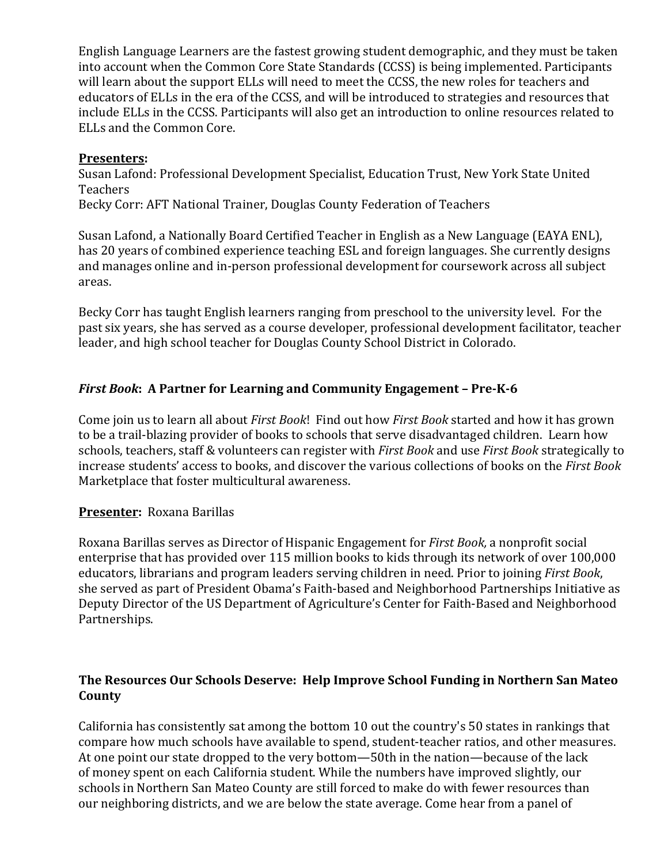English Language Learners are the fastest growing student demographic, and they must be taken into account when the Common Core State Standards (CCSS) is being implemented. Participants will learn about the support ELLs will need to meet the CCSS, the new roles for teachers and educators of ELLs in the era of the CCSS, and will be introduced to strategies and resources that include ELLs in the CCSS. Participants will also get an introduction to online resources related to ELLs and the Common Core.

# **Presenters:**

Susan Lafond: Professional Development Specialist, Education Trust, New York State United Teachers Becky Corr: AFT National Trainer, Douglas County Federation of Teachers

Susan Lafond, a Nationally Board Certified Teacher in English as a New Language (EAYA ENL),

has 20 years of combined experience teaching ESL and foreign languages. She currently designs and manages online and in-person professional development for coursework across all subject areas.

Becky Corr has taught English learners ranging from preschool to the university level. For the past six years, she has served as a course developer, professional development facilitator, teacher leader, and high school teacher for Douglas County School District in Colorado.

# *First Book*: A Partner for Learning and Community Engagement - Pre-K-6

Come join us to learn all about *First Book*! Find out how *First Book* started and how it has grown to be a trail-blazing provider of books to schools that serve disadvantaged children. Learn how schools, teachers, staff & volunteers can register with *First Book* and use *First Book* strategically to increase students' access to books, and discover the various collections of books on the *First Book* Marketplace that foster multicultural awareness.

# **Presenter: Roxana Barillas**

Roxana Barillas serves as Director of Hispanic Engagement for *First Book*, a nonprofit social enterprise that has provided over 115 million books to kids through its network of over 100,000 educators, librarians and program leaders serving children in need. Prior to joining *First Book*, she served as part of President Obama's Faith-based and Neighborhood Partnerships Initiative as Deputy Director of the US Department of Agriculture's Center for Faith-Based and Neighborhood Partnerships.

# **The Resources Our Schools Deserve: Help Improve School Funding in Northern San Mateo County**

California has consistently sat among the bottom 10 out the country's 50 states in rankings that compare how much schools have available to spend, student-teacher ratios, and other measures. At one point our state dropped to the very bottom—50th in the nation—because of the lack of money spent on each California student. While the numbers have improved slightly, our schools in Northern San Mateo County are still forced to make do with fewer resources than our neighboring districts, and we are below the state average. Come hear from a panel of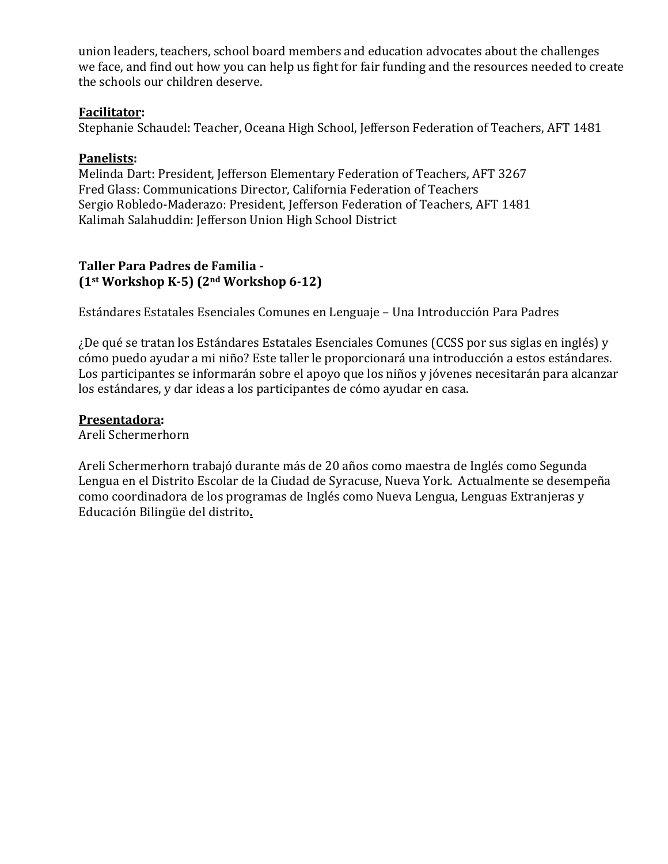union leaders, teachers, school board members and education advocates about the challenges we face, and find out how you can help us fight for fair funding and the resources needed to create the schools our children deserve.

## **Facilitator:**

Stephanie Schaudel: Teacher, Oceana High School, Jefferson Federation of Teachers, AFT 1481

# **Panelists:**

Melinda Dart: President, Jefferson Elementary Federation of Teachers, AFT 3267 Fred Glass: Communications Director, California Federation of Teachers Sergio Robledo-Maderazo: President, Jefferson Federation of Teachers, AFT 1481 Kalimah Salahuddin: Jefferson Union High School District

## **Taller Para Padres de Familia -**  $(1<sup>st</sup> Workshop K-5)$  $(2<sup>nd</sup> Workshop 6-12)$

Estándares Estatales Esenciales Comunes en Lenguaje – Una Introducción Para Padres

; De qué se tratan los Estándares Estatales Esenciales Comunes (CCSS por sus siglas en inglés) y cómo puedo ayudar a mi niño? Este taller le proporcionará una introducción a estos estándares. Los participantes se informarán sobre el apoyo que los niños y jóvenes necesitarán para alcanzar los estándares, y dar ideas a los participantes de cómo ayudar en casa.

# **Presentadora:**

Areli Schermerhorn

Areli Schermerhorn trabajó durante más de 20 años como maestra de Inglés como Segunda Lengua en el Distrito Escolar de la Ciudad de Syracuse, Nueva York. Actualmente se desempeña como coordinadora de los programas de Inglés como Nueva Lengua, Lenguas Extranjeras y Educación Bilingüe del distrito**.**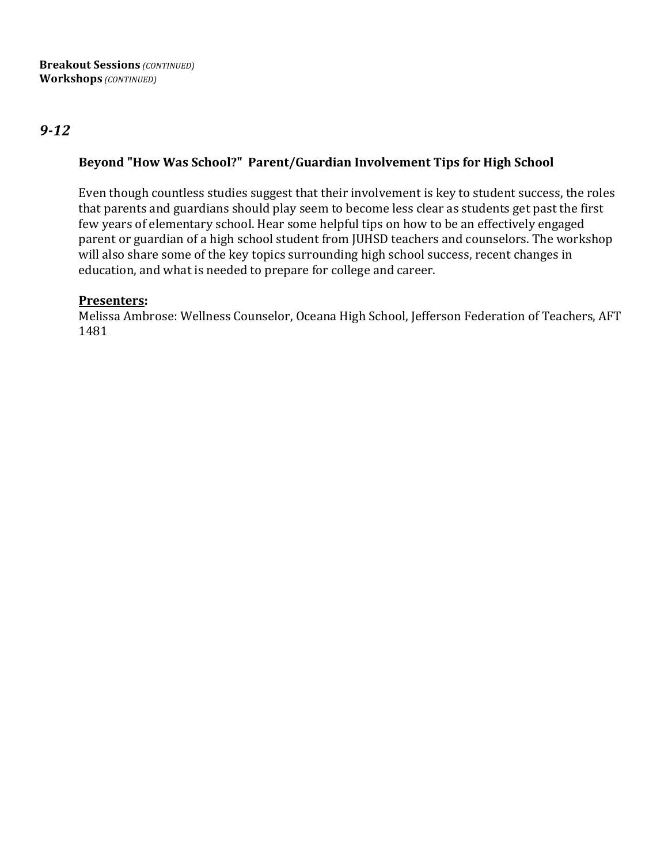# *9-12*

# Beyond "How Was School?" Parent/Guardian Involvement Tips for High School

Even though countless studies suggest that their involvement is key to student success, the roles that parents and guardians should play seem to become less clear as students get past the first few years of elementary school. Hear some helpful tips on how to be an effectively engaged parent or guardian of a high school student from JUHSD teachers and counselors. The workshop will also share some of the key topics surrounding high school success, recent changes in education, and what is needed to prepare for college and career.

# **Presenters:**

Melissa Ambrose: Wellness Counselor, Oceana High School, Jefferson Federation of Teachers, AFT 1481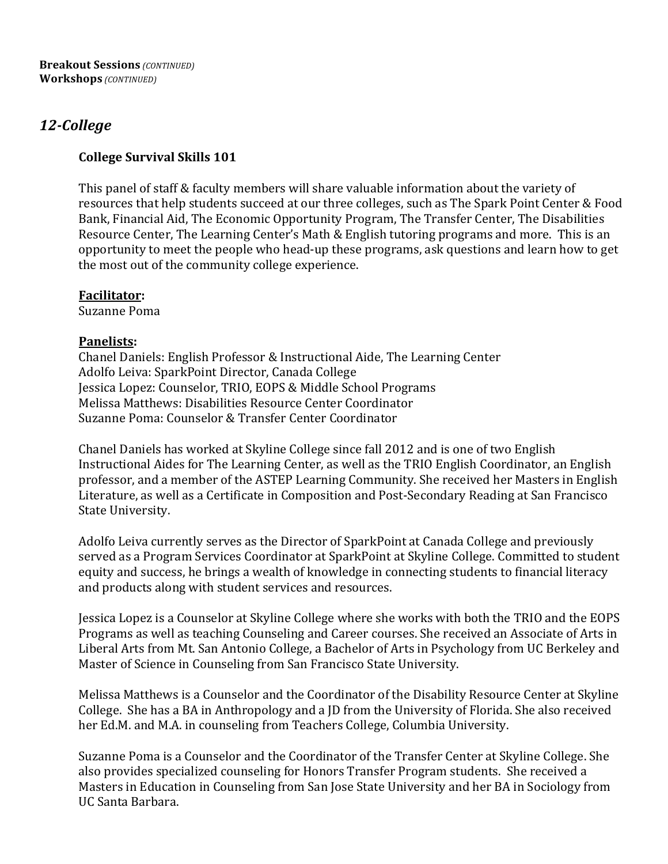# *12-College*

# **College Survival Skills 101**

This panel of staff & faculty members will share valuable information about the variety of resources that help students succeed at our three colleges, such as The Spark Point Center & Food Bank, Financial Aid, The Economic Opportunity Program, The Transfer Center, The Disabilities Resource Center, The Learning Center's Math & English tutoring programs and more. This is an opportunity to meet the people who head-up these programs, ask questions and learn how to get the most out of the community college experience.

# **Facilitator:**

Suzanne Poma

# **Panelists:**

Chanel Daniels: English Professor & Instructional Aide, The Learning Center Adolfo Leiva: SparkPoint Director, Canada College Jessica Lopez: Counselor, TRIO, EOPS & Middle School Programs Melissa Matthews: Disabilities Resource Center Coordinator Suzanne Poma: Counselor & Transfer Center Coordinator

Chanel Daniels has worked at Skyline College since fall 2012 and is one of two English Instructional Aides for The Learning Center, as well as the TRIO English Coordinator, an English professor, and a member of the ASTEP Learning Community. She received her Masters in English Literature, as well as a Certificate in Composition and Post-Secondary Reading at San Francisco State University.

Adolfo Leiva currently serves as the Director of SparkPoint at Canada College and previously served as a Program Services Coordinator at SparkPoint at Skyline College. Committed to student equity and success, he brings a wealth of knowledge in connecting students to financial literacy and products along with student services and resources.

Jessica Lopez is a Counselor at Skyline College where she works with both the TRIO and the EOPS Programs as well as teaching Counseling and Career courses. She received an Associate of Arts in Liberal Arts from Mt. San Antonio College, a Bachelor of Arts in Psychology from UC Berkeley and Master of Science in Counseling from San Francisco State University.

Melissa Matthews is a Counselor and the Coordinator of the Disability Resource Center at Skyline College. She has a BA in Anthropology and a JD from the University of Florida. She also received her Ed.M. and M.A. in counseling from Teachers College, Columbia University.

Suzanne Poma is a Counselor and the Coordinator of the Transfer Center at Skyline College. She also provides specialized counseling for Honors Transfer Program students. She received a Masters in Education in Counseling from San Jose State University and her BA in Sociology from UC Santa Barbara.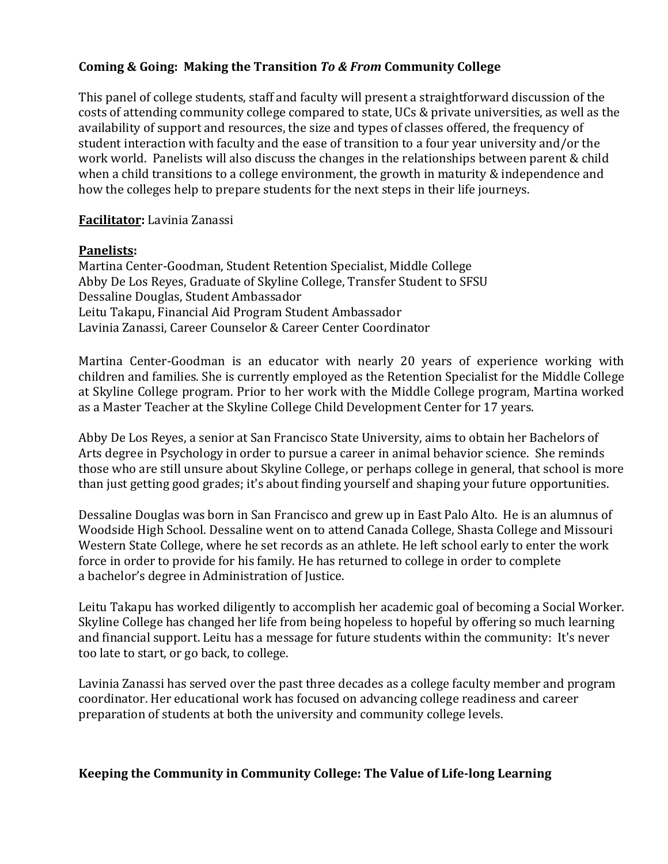# **Coming & Going: Making the Transition** *To & From* **Community College**

This panel of college students, staff and faculty will present a straightforward discussion of the costs of attending community college compared to state, UCs & private universities, as well as the availability of support and resources, the size and types of classes offered, the frequency of student interaction with faculty and the ease of transition to a four year university and/or the work world. Panelists will also discuss the changes in the relationships between parent & child when a child transitions to a college environment, the growth in maturity  $&$  independence and how the colleges help to prepare students for the next steps in their life journeys.

## **Facilitator:** Lavinia Zanassi

#### **Panelists:**

Martina Center-Goodman, Student Retention Specialist, Middle College Abby De Los Reyes, Graduate of Skyline College, Transfer Student to SFSU Dessaline Douglas, Student Ambassador Leitu Takapu, Financial Aid Program Student Ambassador Lavinia Zanassi, Career Counselor & Career Center Coordinator

Martina Center-Goodman is an educator with nearly 20 years of experience working with children and families. She is currently employed as the Retention Specialist for the Middle College at Skyline College program. Prior to her work with the Middle College program, Martina worked as a Master Teacher at the Skyline College Child Development Center for 17 years.

Abby De Los Reyes, a senior at San Francisco State University, aims to obtain her Bachelors of Arts degree in Psychology in order to pursue a career in animal behavior science. She reminds those who are still unsure about Skyline College, or perhaps college in general, that school is more than just getting good grades; it's about finding yourself and shaping your future opportunities.

Dessaline Douglas was born in San Francisco and grew up in East Palo Alto. He is an alumnus of Woodside High School. Dessaline went on to attend Canada College, Shasta College and Missouri Western State College, where he set records as an athlete. He left school early to enter the work force in order to provide for his family. He has returned to college in order to complete a bachelor's degree in Administration of Justice.

Leitu Takapu has worked diligently to accomplish her academic goal of becoming a Social Worker. Skyline College has changed her life from being hopeless to hopeful by offering so much learning and financial support. Leitu has a message for future students within the community: It's never too late to start, or go back, to college.

Lavinia Zanassi has served over the past three decades as a college faculty member and program coordinator. Her educational work has focused on advancing college readiness and career preparation of students at both the university and community college levels.

## **Keeping the Community in Community College: The Value of Life-long Learning**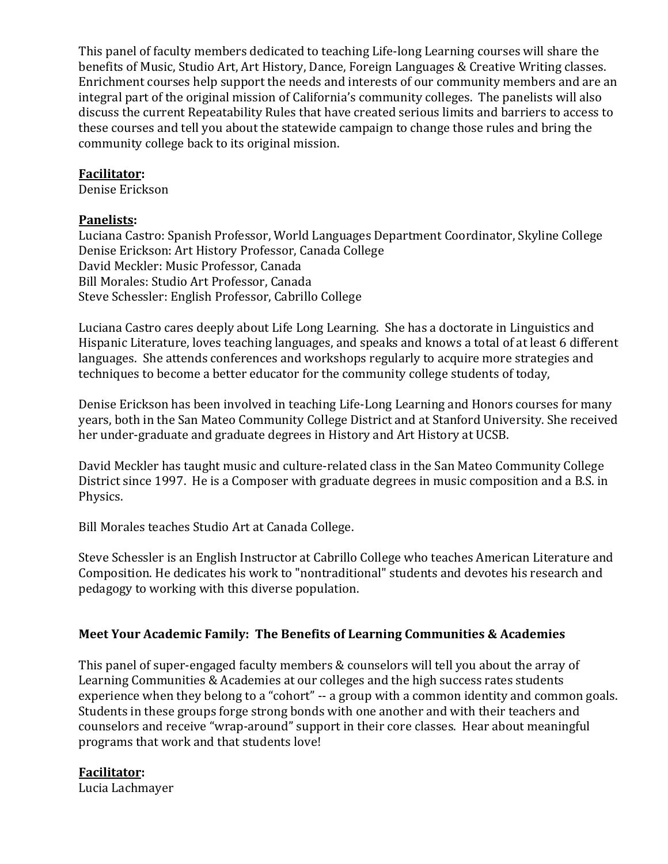This panel of faculty members dedicated to teaching Life-long Learning courses will share the benefits of Music, Studio Art, Art History, Dance, Foreign Languages & Creative Writing classes. Enrichment courses help support the needs and interests of our community members and are an integral part of the original mission of California's community colleges. The panelists will also discuss the current Repeatability Rules that have created serious limits and barriers to access to these courses and tell you about the statewide campaign to change those rules and bring the community college back to its original mission.

# **Facilitator:**

Denise Erickson

# **Panelists:**

Luciana Castro: Spanish Professor, World Languages Department Coordinator, Skyline College Denise Erickson: Art History Professor, Canada College David Meckler: Music Professor, Canada Bill Morales: Studio Art Professor, Canada Steve Schessler: English Professor, Cabrillo College

Luciana Castro cares deeply about Life Long Learning. She has a doctorate in Linguistics and Hispanic Literature, loves teaching languages, and speaks and knows a total of at least 6 different languages. She attends conferences and workshops regularly to acquire more strategies and techniques to become a better educator for the community college students of today,

Denise Erickson has been involved in teaching Life-Long Learning and Honors courses for many years, both in the San Mateo Community College District and at Stanford University. She received her under-graduate and graduate degrees in History and Art History at UCSB.

David Meckler has taught music and culture-related class in the San Mateo Community College District since 1997. He is a Composer with graduate degrees in music composition and a B.S. in Physics.

Bill Morales teaches Studio Art at Canada College.

Steve Schessler is an English Instructor at Cabrillo College who teaches American Literature and Composition. He dedicates his work to "nontraditional" students and devotes his research and pedagogy to working with this diverse population.

# **Meet Your Academic Family: The Benefits of Learning Communities & Academies**

This panel of super-engaged faculty members & counselors will tell you about the array of Learning Communities & Academies at our colleges and the high success rates students experience when they belong to a "cohort" -- a group with a common identity and common goals. Students in these groups forge strong bonds with one another and with their teachers and counselors and receive "wrap-around" support in their core classes. Hear about meaningful programs that work and that students love!

## **Facilitator:**

Lucia Lachmayer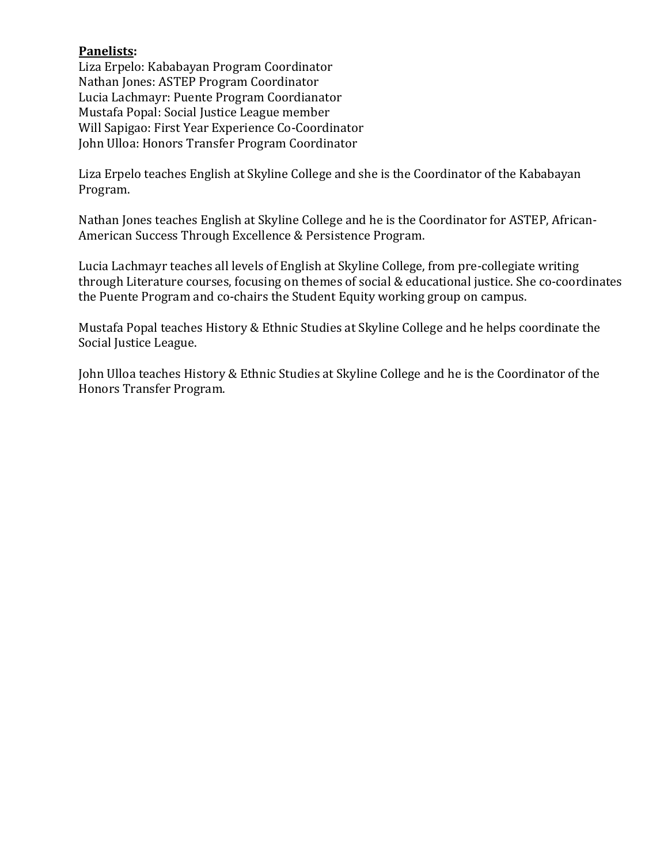# **Panelists:**

Liza Erpelo: Kababayan Program Coordinator Nathan Jones: ASTEP Program Coordinator Lucia Lachmayr: Puente Program Coordianator Mustafa Popal: Social Justice League member Will Sapigao: First Year Experience Co-Coordinator John Ulloa: Honors Transfer Program Coordinator

Liza Erpelo teaches English at Skyline College and she is the Coordinator of the Kababayan Program.

Nathan Jones teaches English at Skyline College and he is the Coordinator for ASTEP, African-American Success Through Excellence & Persistence Program.

Lucia Lachmayr teaches all levels of English at Skyline College, from pre-collegiate writing through Literature courses, focusing on themes of social & educational justice. She co-coordinates the Puente Program and co-chairs the Student Equity working group on campus.

Mustafa Popal teaches History & Ethnic Studies at Skyline College and he helps coordinate the Social Justice League.

John Ulloa teaches History & Ethnic Studies at Skyline College and he is the Coordinator of the Honors Transfer Program.